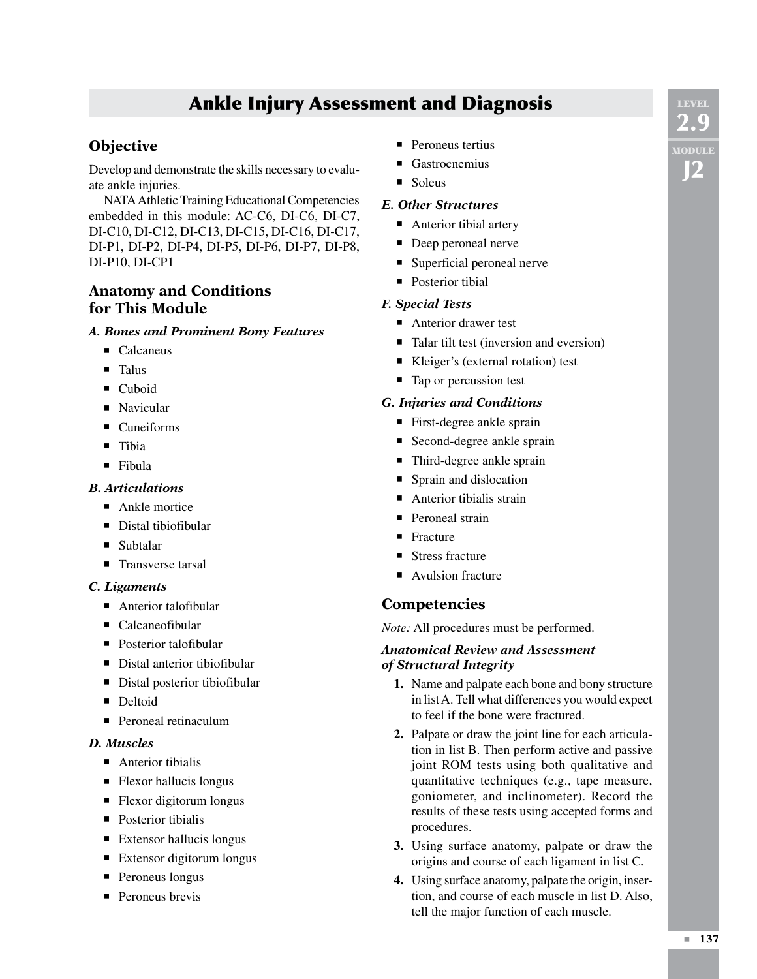# Ankle Injury Assessment and Diagnosis

# **Objective**

Develop and demonstrate the skills necessary to evaluate ankle injuries.

NATA Athletic Training Educational Competencies embedded in this module: AC-C6, DI-C6, DI-C7, DI-C10, DI-C12, DI-C13, DI-C15, DI-C16, DI-C17, DI-P1, DI-P2, DI-P4, DI-P5, DI-P6, DI-P7, DI-P8, DI-P10, DI-CP1

# **Anatomy and Conditions for This Module**

## *A. Bones and Prominent Bony Features*

- Calcaneus
- Talus
- Cuboid
- Navicular
- Cuneiforms
- Tibia
- Fibula

# *B. Articulations*

- $\blacksquare$  Ankle mortice
- Distal tibiofibular
- Subtalar
- Transverse tarsal

# *C. Ligaments*

- Anterior talofibular
- Calcaneofibular
- Posterior talofibular
- Distal anterior tibiofibular
- Distal posterior tibiofibular
- Deltoid
- Peroneal retinaculum

#### *D. Muscles*

- Anterior tibialis
- Flexor hallucis longus
- Flexor digitorum longus
- Posterior tibialis
- $\blacksquare$  Extensor hallucis longus
- Extensor digitorum longus
- Peroneus longus
- Peroneus brevis
- Peroneus tertius
- Gastrocnemius
- Soleus

## *E. Other Structures*

- Anterior tibial artery
- Deep peroneal nerve
- Superficial peroneal nerve
- Posterior tibial

# *F. Special Tests*

- Anterior drawer test
- Talar tilt test (inversion and eversion)
- Kleiger's (external rotation) test
- Tap or percussion test

## *G. Injuries and Conditions*

- First-degree ankle sprain
- Second-degree ankle sprain
- Third-degree ankle sprain
- Sprain and dislocation
- $\blacksquare$  Anterior tibialis strain
- Peroneal strain
- Fracture
- Stress fracture
- Avulsion fracture

# **Competencies**

*Note:* All procedures must be performed.

#### *Anatomical Review and Assessment of Structural Integrity*

- **1.** Name and palpate each bone and bony structure in list A. Tell what differences you would expect to feel if the bone were fractured.
- **2.**  Palpate or draw the joint line for each articulation in list B. Then perform active and passive joint ROM tests using both qualitative and quantitative techniques (e.g., tape measure, goniometer, and inclinometer). Record the results of these tests using accepted forms and procedures.
- **3.** Using surface anatomy, palpate or draw the origins and course of each ligament in list C.
- **4.** Using surface anatomy, palpate the origin, insertion, and course of each muscle in list D. Also, tell the major function of each muscle.

**LEVE** 2.9 Module J2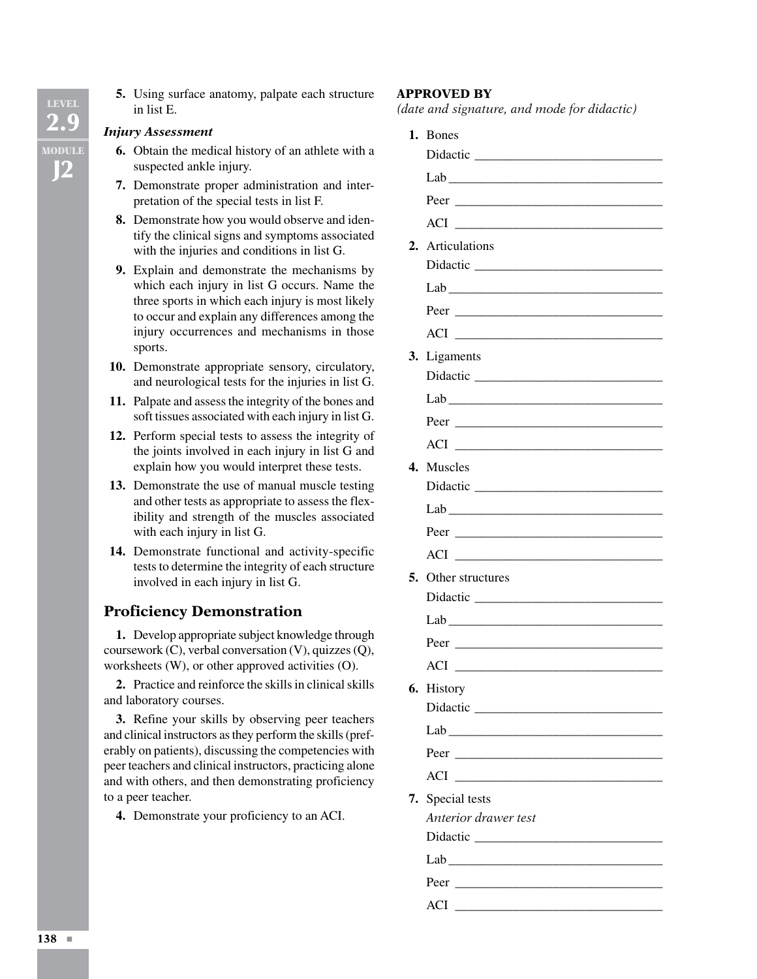**5.** Using surface anatomy, palpate each structure in list E.

#### *Injury Assessment*

- **6.** Obtain the medical history of an athlete with a suspected ankle injury.
- **7.** Demonstrate proper administration and interpretation of the special tests in list F.
- **8.** Demonstrate how you would observe and identify the clinical signs and symptoms associated with the injuries and conditions in list G.
- **9.** Explain and demonstrate the mechanisms by which each injury in list G occurs. Name the three sports in which each injury is most likely to occur and explain any differences among the injury occurrences and mechanisms in those sports.
- 10. Demonstrate appropriate sensory, circulatory, and neurological tests for the injuries in list G.
- 11. Palpate and assess the integrity of the bones and soft tissues associated with each injury in list G.
- 12. Perform special tests to assess the integrity of the joints involved in each injury in list G and explain how you would interpret these tests.
- **13.** Demonstrate the use of manual muscle testing and other tests as appropriate to assess the flexibility and strength of the muscles associated with each injury in list G.
- 14. Demonstrate functional and activity-specific tests to determine the integrity of each structure involved in each injury in list G.

# **Proficiency Demonstration**

**1.** Develop appropriate subject knowledge through coursework (C), verbal conversation (V), quizzes (Q), worksheets (W), or other approved activities (O).

**2.** Practice and reinforce the skills in clinical skills and laboratory courses.

**3.** Refine your skills by observing peer teachers and clinical instructors as they perform the skills (preferably on patients), discussing the competencies with peer teachers and clinical instructors, practicing alone and with others, and then demonstrating proficiency to a peer teacher.

 **4.**  Demonstrate your proficiency to an ACI.

#### **Approved by**

*(date and signature, and mode for didactic)*

| 1. | <b>Bones</b>                                                                                                                                                                                                                   |
|----|--------------------------------------------------------------------------------------------------------------------------------------------------------------------------------------------------------------------------------|
|    |                                                                                                                                                                                                                                |
|    | Lab                                                                                                                                                                                                                            |
|    |                                                                                                                                                                                                                                |
|    | $ACI$                                                                                                                                                                                                                          |
|    | 2. Articulations                                                                                                                                                                                                               |
|    |                                                                                                                                                                                                                                |
|    | Lab experience and the second service of the service of the service of the service of the service of the service of the service of the service of the service of the service of the service of the service of the service of t |
|    | Peer<br><u> 2002 - Jan James James Barnett, fizik eta idazlear</u>                                                                                                                                                             |
|    |                                                                                                                                                                                                                                |
| 3. | Ligaments                                                                                                                                                                                                                      |
|    |                                                                                                                                                                                                                                |
|    | Lab                                                                                                                                                                                                                            |
|    |                                                                                                                                                                                                                                |
|    |                                                                                                                                                                                                                                |
|    | 4. Muscles                                                                                                                                                                                                                     |
|    |                                                                                                                                                                                                                                |
|    | Lab                                                                                                                                                                                                                            |
|    |                                                                                                                                                                                                                                |
|    | ACI                                                                                                                                                                                                                            |
|    | 5. Other structures                                                                                                                                                                                                            |
|    |                                                                                                                                                                                                                                |
|    | Lab                                                                                                                                                                                                                            |
|    |                                                                                                                                                                                                                                |
|    |                                                                                                                                                                                                                                |
|    | 6. History                                                                                                                                                                                                                     |
|    |                                                                                                                                                                                                                                |
|    | Lab                                                                                                                                                                                                                            |
|    |                                                                                                                                                                                                                                |
|    | <b>ACI</b>                                                                                                                                                                                                                     |
| 7. | Special tests                                                                                                                                                                                                                  |
|    | Anterior drawer test                                                                                                                                                                                                           |
|    |                                                                                                                                                                                                                                |
|    | Lab                                                                                                                                                                                                                            |
|    |                                                                                                                                                                                                                                |
|    | ACI                                                                                                                                                                                                                            |